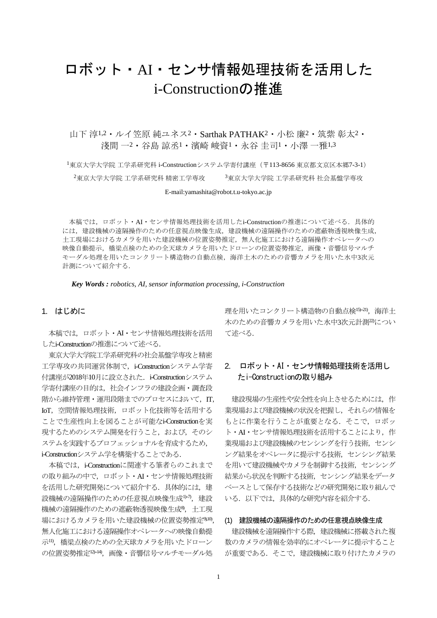# ロボット・AI・センサ情報処理技術を活用した i-Constructionの推進

山下 淳1,2・ルイ笠原 純ユネス2・Sarthak PATHAK2・小松 廉2・筑紫 彰太2・ 淺間 一2・谷島 諒丞1・濱崎 峻資1・永谷 圭司1・小澤 一雅1,3

<sup>1</sup>東京大学大学院 工学系研究科 i-Constructionシステム学寄付講座(〒113-8656 東京都文京区本郷7-3-1)  $^2$ 東京大学大学院 工学系研究科 精密工学専攻  $3$ 東京大学大学院 工学系研究科 社会基盤学専攻

E-mail:yamashita@robot.t.u-tokyo.ac.jp

本稿では,ロボット・AI・センサ情報処理技術を活用したi-Constructionの推進について述べる.具体的 には、建設機械の遠隔操作のための任意視点映像生成、建設機械の遠隔操作のための遮蔽物透視映像生成。 土工現場におけるカメラを用いた建設機械の位置姿勢推定,無人化施工における遠隔操作オペレータへの 映像自動提示,橋梁点検のための全天球カメラを用いたドローンの位置姿勢推定,画像・音響信号マルチ モーダル処理を用いたコンクリート構造物の自動点検,海洋土木のための音響カメラを用いた水中3次元 計測について紹介する.

 *Key Words : robotics, AI, sensor information processing, i-Construction*

## 1. はじめに

本稿では,ロボット・AI・センサ情報処理技術を活用 したi-Constructionの推進について述べる.

東京大学大学院工学系研究科の社会基盤学専攻と精密 工学専攻の共同運営体制で, i-Constructionシステム学寄 付講座が2018年10月に設立された. i-Constructionシステム 学寄付講座の目的は、社会インフラの建設企画・調査段 階から維持管理·運用段階までのプロセスにおいて. IT. IoT,空間情報処理技術,ロボット化技術等を活用する ことで生産性向上を図ることが可能なi-Constructionを実 現するためのシステム開発を行うこと,および,そのシ ステムを実践するプロフェッショナルを育成するため, i-Constructionシステム学を構築することである.

本稿では,i-Constructionに関連する筆者らのこれまで の取り組みの中で,ロボット・AI・センサ情報処理技術 を活用した研究開発について紹介する. 具体的には、建 設機械の遠隔操作のための任意視点映像生成<sup>1,-7</sup>,建設 機械の遠隔操作のための遮蔽物透視映像生成8) ,土工現 場におけるカメラを用いた建設機械の位置姿勢推定<sup>9,10</sup>, 無人化施工における遠隔操作オペレータへの映像自動提 示11),橋梁点検のための全天球カメラを用いたドローン の位置姿勢推定12-14), 画像·音響信号マルチモーダル処

理を用いたコンクリート構造物の自動点検<sup>15-21</sup>), 海洋土 木のための音響カメラを用いた水中3次元計測<sup>20</sup>につい て述べる.

# 2. ロボット・AI・センサ情報処理技術を活用し たi-Constructionの取り組み

建設現場の生産性や安全性を向上させるためには、作 業現場および建設機械の状況を把握し,それらの情報を もとに作業を行うことが重要となる. そこで、ロボッ ト·AI·センサ情報処理技術を活用することにより、作 業現場および建設機械のセンシングを行う技術,センシ ング結果をオペレータに提示する技術,センシング結果 を用いて建設機械やカメラを制御する技術,センシング 結果から状況を判断する技術,センシング結果をデータ ベースとして保存する技術などの研究開発に取り組んで いる.以下では,具体的な研究内容を紹介する.

### (1) 建設機械の遠隔操作のための任意視点映像生成

建設機械を遠隔操作する際、建設機械に搭載された複 数のカメラの情報を効率的にオペレータに提示すること が重要である.そこで,建設機械に取り付けたカメラの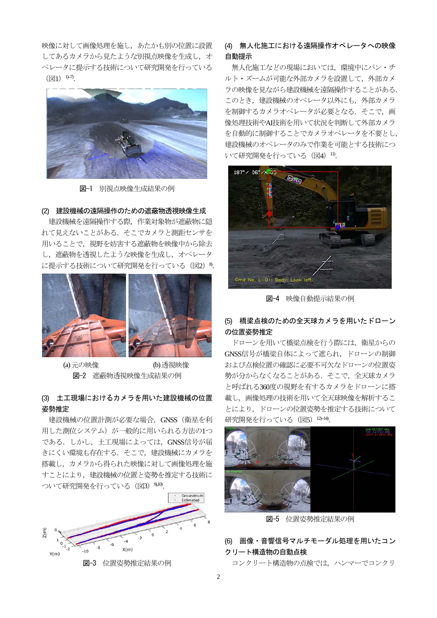映像に対して画像処理を施し,あたかも別の位置に設置 してあるカメラから見たような別視点映像を生成し、オ ペレータに提示する技術について研究開発を行っている  $(\boxtimes 1)$ <sup>1)-7</sup>).



図-1 別視点映像生成結果の例

## (2) 建設機械の遠隔操作のための遮蔽物透視映像生成

建設機械を遠隔操作する際、作業対象物が遮蔽物に隠 れて見えないことがある.そこでカメラと測距センサを 用いることで,視野を妨害する遮蔽物を映像中から除去 し,遮蔽物を透視したような映像を生成し,オペレータ に提示する技術について研究開発を行っている (図2) 8.



 (a)元の映像 (b)透視映像 図-2 遮蔽物透視映像生成結果の例

# (3) 土工現場におけるカメラを用いた建設機械の位置 姿勢推定

建設機械の位置計測が必要な場合,GNSS(衛星を利 用した測位システム)が一般的に用いられる方法の1つ である.しかし,土工現場によっては,GNSS信号が届 きにくい環境も存在する.そこで,建設機械にカメラを 搭載し,カメラから得られた映像に対して画像処理を施 すことにより,建設機械の位置と姿勢を推定する技術に ついて研究開発を行っている(図3)<sup>9,10)</sup>.



# (4) 無人化施工における遠隔操作オペレータへの映像 自動提示

無人化施工などの現場においては,環境中にパン・チ ルト・ズームが可能な外部カメラを設置して,外部カメ ラの映像を見ながら建設機械を遠隔操作することがある. このとき、建設機械のオペレータ以外にも、外部カメラ を制御するカメラオペレータが必要となる. そこで、画 像処理技術やAI技術を用いて状況を判断して外部カメラ を自動的に制御することでカメラオペレータを不要とし, 建設機械のオペレータのみで作業を可能とする技術につ いて研究開発を行っている (図4) 10.



図-4 映像自動提示結果の例

## (5) 橋梁点検のための全天球カメラを用いたドローン の位置姿勢推定

ドローンを用いて橋梁点検を行う際には,衛星からの GNSS信号が橋梁自体によって遮られ,ドローンの制御 および点検位置の確認に必要不可欠なドローンの位置姿 勢が分からなくなることがある.そこで,全天球カメラ と呼ばれる360度の視野を有するカメラをドローンに搭 載し,画像処理の技術を用いて全天球映像を解析するこ とにより,ドローンの位置姿勢を推定する技術について 研究開発を行っている (図5) 12-14).



図-5 位置姿勢推定結果の例

# (6) 画像・音響信号マルチモーダル処理を用いたコン クリート構造物の自動点検

コンクリート構造物の点検では,ハンマーでコンクリ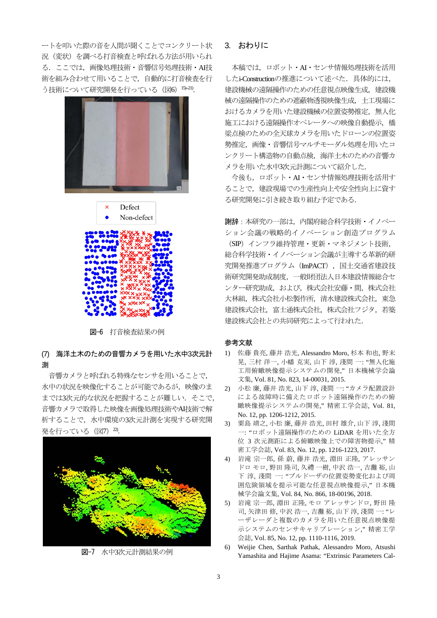ートを叩いた際の音を人間が聞くことでコンクリート状 況(変状)を調べる打音検査と呼ばれる方法が用いられ る.ここでは,画像処理技術・音響信号処理技術・AI技 術を組み合わせて用いることで,自動的に打音検査を行 う技術について研究開発を行っている (図6) 15-21).





図-6 打音検査結果の例

# (7) 海洋土木のための音響カメラを用いた水中3次元計 測

音響カメラと呼ばれる特殊なセンサを用いることで, 水中の状況を映像化することが可能であるが,映像のま までは3次元的な状況を把握することが難しい. そこで, 音響カメラで取得した映像を画像処理技術やAI技術で解 析することで,水中環境の3次元計測を実現する研究開 発を行っている (図7) <sup>20</sup>.



図-7 水中3次元計測結果の例

## 3. おわりに

本稿では,ロボット・AI・センサ情報処理技術を活用 したi-Constructionの推進について述べた.具体的には, 建設機械の遠隔操作のための任意視点映像生成、建設機 械の遠隔操作のための遮蔽物透視映像生成,土工現場に おけるカメラを用いた建設機械の位置姿勢推定、無人化 施工における遠隔操作オペレータへの映像自動提示,橋 梁点検のための全天球カメラを用いたドローンの位置姿 勢推定,画像・音響信号マルチモーダル処理を用いたコ ンクリート構造物の自動点検,海洋土木のための音響カ メラを用いた水中3次元計測について紹介した.

今後も,ロボット・AI・センサ情報処理技術を活用す ることで,建設現場での生産性向上や安全性向上に資す る研究開発に引き続き取り組む予定である.

謝辞:本研究の一部は,内閣府総合科学技術・イノベー ション会議の戦略的イノベーション創造プログラム (SIP)インフラ維持管理・更新・マネジメント技術, 総合科学技術・イノベーション会議が主導する革新的研 究開発推進プログラム(ImPACT),国土交通省建設技 術研究開発助成制度,一般財団法人日本建設情報総合セ ンター研究助成,および,株式会社安藤・間,株式会社 大林組,株式会社小松製作所,清水建設株式会社,東急 建設株式会社,富士通株式会社,株式会社フジタ,若築 建設株式会社との共同研究によって行われた.

### 参考文献

- 1) 佐藤 貴亮, 藤井 浩光, Alessandro Moro, 杉本 和也, 野末 晃, 三村 洋一, 小幡 克実, 山下 淳, 淺間 一: "無人化施 工用俯瞰映像提示システムの開発," 日本機械学会論 文集, Vol. 81, No. 823, 14-00031, 2015.
- 2) 小松 廉, 藤井 浩光, 山下 淳, 淺間 一: "カメラ配置設計 による故障時に備えたロボット遠隔操作のための俯 瞰映像提示システムの開発," 精密工学会誌, Vol. 81, No. 12, pp. 1206-1212, 2015.
- 3) 粟島 靖之, 小松 廉, 藤井 浩光, 田村 雄介, 山下 淳, 淺間 一: "ロボット遠隔操作のための LiDAR を用いた全方 位 3 次元測距による俯瞰映像上での障害物提示," 精 密工学会誌, Vol. 83, No. 12, pp. 1216-1223, 2017.
- 4) 岩滝 宗一郎, 孫 蔚, 藤井 浩光, 淵田 正隆, アレッサン ドロ モロ, 野田 隆司, 久禮 一樹, 中沢 浩一, 吉灘 裕, 山 下 淳, 淺間 一: "ブルドーザの位置姿勢変化および周 囲危険領域を提示可能な任意視点映像提示," 日本機 械学会論文集, Vol. 84, No. 866, 18-00196, 2018.
- 5) 岩滝 宗一郎, 淵田 正隆, モロ アレッサンドロ, 野田 隆 司, 矢津田 修, 中沢 浩一, 吉灘 裕, 山下 淳, 淺間 一: "レ ーザレーダと複数のカメラを用いた任意視点映像提 示システムのセンサキャリブレーション," 精密工学 会誌, Vol. 85, No. 12, pp. 1110-1116, 2019.
- 6) Weijie Chen, Sarthak Pathak, Alessandro Moro, Atsushi Yamashita and Hajime Asama: "Extrinsic Parameters Cal-